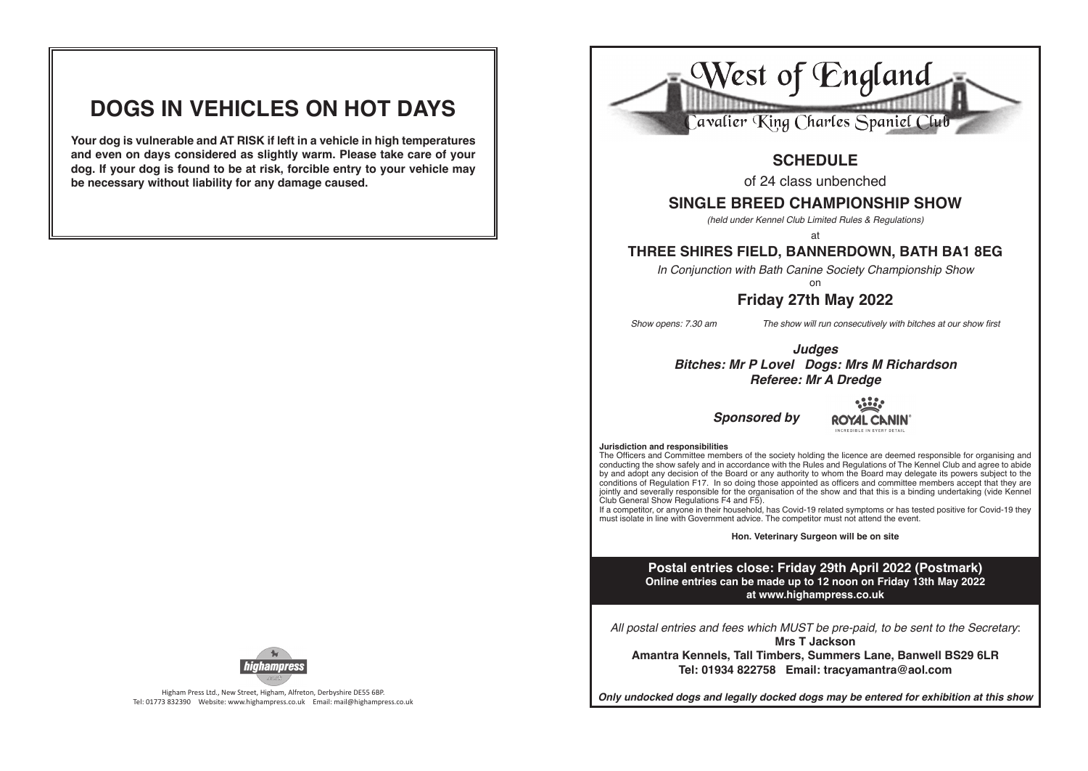# **DOGS IN VEHICLES ON HOT DAYS**

**Your dog is vulnerable and AT RISK if left in a vehicle in high temperatures and even on days considered as slightly warm. Please take care of your dog. If your dog is found to be at risk, forcible entry to your vehicle may be necessary without liability for any damage caused.**



Higham Press Ltd., New Street, Higham, Alfreton, Derbyshire DE55 6BP. Tel: 01773 832390 Website: www.highampress.co.uk Email: mail@highampress.co.uk



# **SCHEDULE**

of 24 class unbenched

# **SINGLE BREED CHAMPIONSHIP SHOW**

*(held under Kennel Club Limited Rules & Regulations)*

at

# **THREE SHIRES FIELD, BANNERDOWN, BATH BA1 8EG**

*In Conjunction with Bath Canine Society Championship Show*

### on **Friday 27th May 2022**

*Show opens: 7.30 am The show will run consecutively with bitches at our show first* 

*Judges Bitches: Mr P Lovel Dogs: Mrs M Richardson Referee: Mr A Dredge*

*Sponsored by*



### **Jurisdiction and responsibilities**

The Officers and Committee members of the society holding the licence are deemed responsible for organising and conducting the show safely and in accordance with the Rules and Regulations of The Kennel Club and agree to abide by and adopt any decision of the Board or any authority to whom the Board may delegate its powers subject to the conditions of Regulation F17. In so doing those appointed as officers and committee members accept that they are jointly and severally responsible for the organisation of the show and that this is a binding undertaking (vide Kennel Club General Show Regulations F4 and F5).

If a competitor, or anyone in their household, has Covid-19 related symptoms or has tested positive for Covid-19 they must isolate in line with Government advice. The competitor must not attend the event.

**Hon. Veterinary Surgeon will be on site**

**Postal entries close: Friday 29th April 2022 (Postmark) Online entries can be made up to 12 noon on Friday 13th May 2022 at www.highampress.co.uk**

*All postal entries and fees which MUST be pre-paid, to be sent to the Secretary*: **Mrs T Jackson Amantra Kennels, Tall Timbers, Summers Lane, Banwell BS29 6LR**

**Tel: 01934 822758 Email: tracyamantra@aol.com**

*Only undocked dogs and legally docked dogs may be entered for exhibition at this show*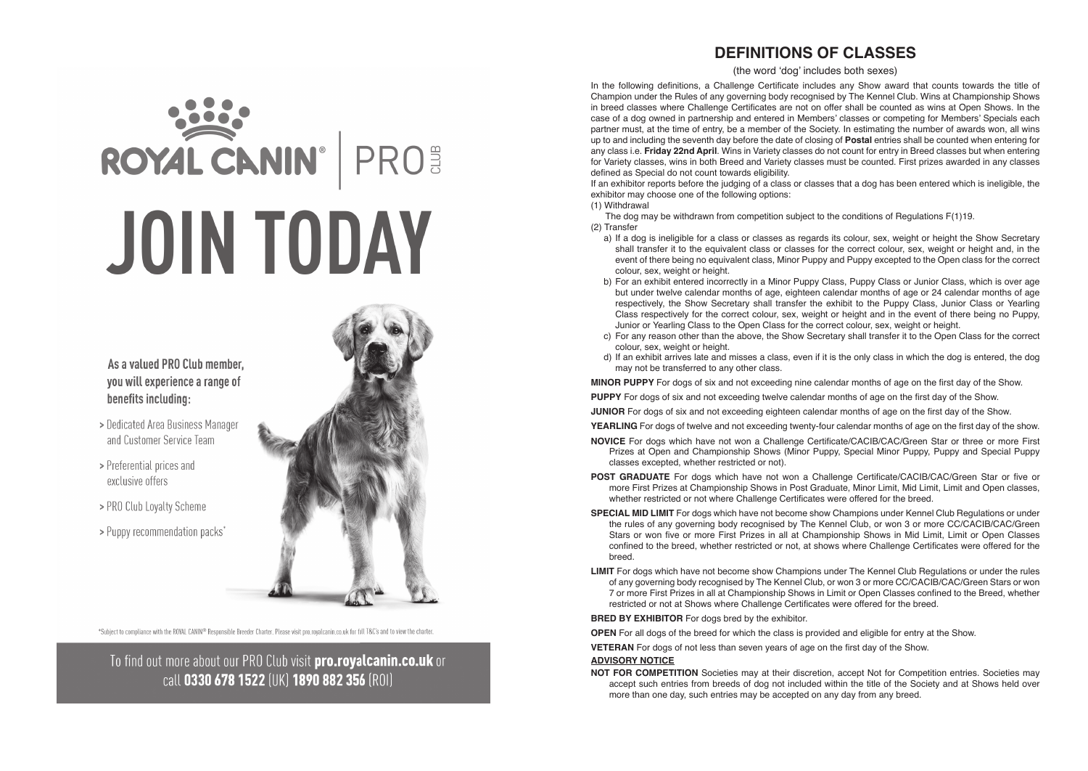# **DEFINITIONS OF CLASSES**

(the word 'dog' includes both sexes)

In the following definitions, a Challenge Certificate includes any Show award that counts towards the title of Champion under the Rules of any governing body recognised by The Kennel Club. Wins at Championship Shows in breed classes where Challenge Certificates are not on offer shall be counted as wins at Open Shows. In the case of a dog owned in partnership and entered in Members' classes or competing for Members' Specials each partner must, at the time of entry, be a member of the Society. In estimating the number of awards won, all wins up to and including the seventh day before the date of closing of **Postal** entries shall be counted when entering for any class i.e. **Friday 22nd April**. Wins in Variety classes do not count for entry in Breed classes but when entering for Variety classes, wins in both Breed and Variety classes must be counted. First prizes awarded in any classes defined as Special do not count towards eligibility.

If an exhibitor reports before the judging of a class or classes that a dog has been entered which is ineligible, the exhibitor may choose one of the following options:

(1) Withdrawal

The dog may be withdrawn from competition subject to the conditions of Regulations F(1)19.

### (2) Transfer

- a) If a dog is ineligible for a class or classes as regards its colour, sex, weight or height the Show Secretary shall transfer it to the equivalent class or classes for the correct colour, sex, weight or height and, in the event of there being no equivalent class, Minor Puppy and Puppy excepted to the Open class for the correct colour, sex, weight or height.
- b) For an exhibit entered incorrectly in a Minor Puppy Class, Puppy Class or Junior Class, which is over age but under twelve calendar months of age, eighteen calendar months of age or 24 calendar months of age respectively, the Show Secretary shall transfer the exhibit to the Puppy Class, Junior Class or Yearling Class respectively for the correct colour, sex, weight or height and in the event of there being no Puppy, Junior or Yearling Class to the Open Class for the correct colour, sex, weight or height.
- c) For any reason other than the above, the Show Secretary shall transfer it to the Open Class for the correct colour, sex, weight or height.
- d) If an exhibit arrives late and misses a class, even if it is the only class in which the dog is entered, the dog may not be transferred to any other class.

**MINOR PUPPY** For dogs of six and not exceeding nine calendar months of age on the first day of the Show.

**PUPPY** For dogs of six and not exceeding twelve calendar months of age on the first day of the Show.

**JUNIOR** For dogs of six and not exceeding eighteen calendar months of age on the first day of the Show.

**YEARLING** For dogs of twelve and not exceeding twenty-four calendar months of age on the first day of the show.

- **NOVICE** For dogs which have not won a Challenge Certificate/CACIB/CAC/Green Star or three or more First Prizes at Open and Championship Shows (Minor Puppy, Special Minor Puppy, Puppy and Special Puppy classes excepted, whether restricted or not).
- **POST GRADUATE** For dogs which have not won a Challenge Certificate/CACIB/CAC/Green Star or five or more First Prizes at Championship Shows in Post Graduate, Minor Limit, Mid Limit, Limit and Open classes, whether restricted or not where Challenge Certificates were offered for the breed.
- **SPECIAL MID LIMIT** For dogs which have not become show Champions under Kennel Club Regulations or under the rules of any governing body recognised by The Kennel Club, or won 3 or more CC/CACIB/CAC/Green Stars or won five or more First Prizes in all at Championship Shows in Mid Limit, Limit or Open Classes confined to the breed, whether restricted or not, at shows where Challenge Certificates were offered for the breed.
- **LIMIT** For dogs which have not become show Champions under The Kennel Club Regulations or under the rules of any governing body recognised by The Kennel Club, or won 3 or more CC/CACIB/CAC/Green Stars or won 7 or more First Prizes in all at Championship Shows in Limit or Open Classes confi ned to the Breed, whether restricted or not at Shows where Challenge Certificates were offered for the breed.

**BRED BY EXHIBITOR** For dogs bred by the exhibitor.

**OPEN** For all dogs of the breed for which the class is provided and eligible for entry at the Show.

**VETERAN** For dogs of not less than seven years of age on the first day of the Show.

### **ADVISORY NOTICE**

**NOT FOR COMPETITION** Societies may at their discretion, accept Not for Competition entries. Societies may accept such entries from breeds of dog not included within the title of the Society and at Shows held over more than one day, such entries may be accepted on any day from any breed.

# ROYAL CANIN<sup>®</sup> PRO **JOIN TODAY**



- > Dedicated Area Business Manager and Customer Service Team
- > Preferential prices and exclusive offers
- > PRO Club Loyalty Scheme
- > Puppy recommendation packs\*

\*Subject to compliance with the ROYAL CANIN® Responsible Breeder Charter. Please visit pro.rovalcanin.co.uk for full T&C's and to view the charter.

To find out more about our PRO Club visit pro.royalcanin.co.uk or call 0330 678 1522 (UK) 1890 882 356 (ROI)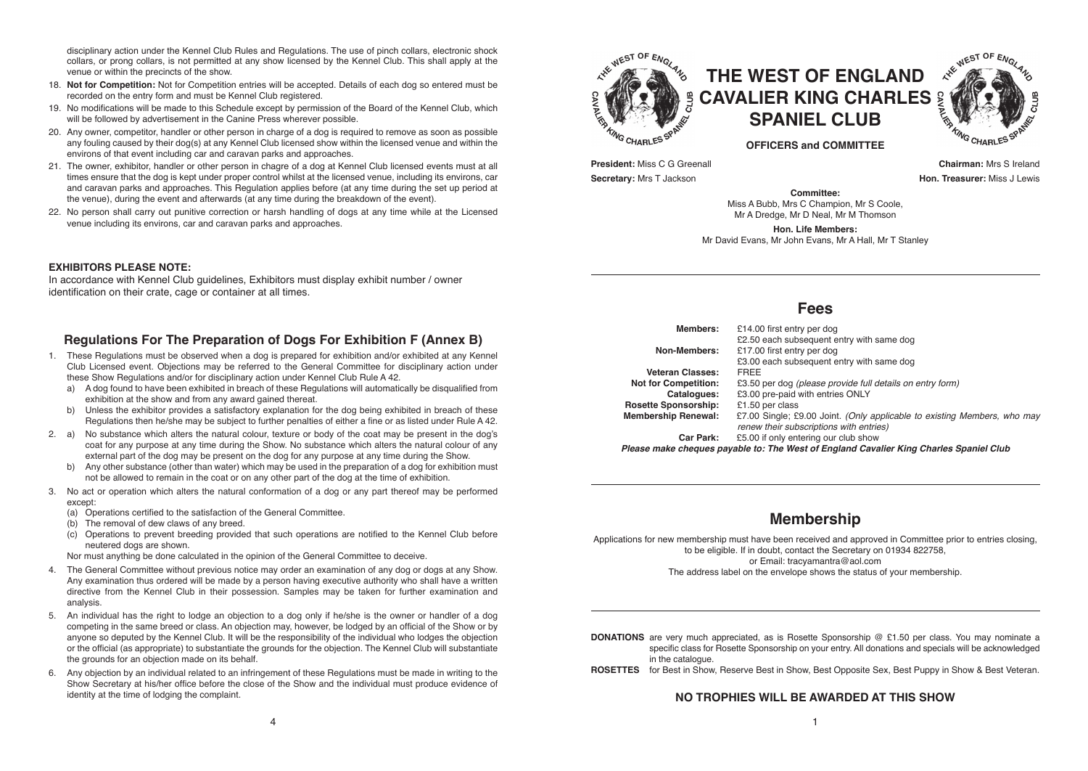disciplinary action under the Kennel Club Rules and Regulations. The use of pinch collars, electronic shock collars, or prong collars, is not permitted at any show licensed by the Kennel Club. This shall apply at the venue or within the precincts of the show.

- 18. **Not for Competition:** Not for Competition entries will be accepted. Details of each dog so entered must be recorded on the entry form and must be Kennel Club registered.
- 19. No modifications will be made to this Schedule except by permission of the Board of the Kennel Club, which will be followed by advertisement in the Canine Press wherever possible.
- 20. Any owner, competitor, handler or other person in charge of a dog is required to remove as soon as possible any fouling caused by their dog(s) at any Kennel Club licensed show within the licensed venue and within the environs of that event including car and caravan parks and approaches.
- 21. The owner, exhibitor, handler or other person in chagre of a dog at Kennel Club licensed events must at all times ensure that the dog is kept under proper control whilst at the licensed venue, including its environs, car and caravan parks and approaches. This Regulation applies before (at any time during the set up period at the venue), during the event and afterwards (at any time during the breakdown of the event).
- 22. No person shall carry out punitive correction or harsh handling of dogs at any time while at the Licensed venue including its environs, car and caravan parks and approaches.

### **EXHIBITORS PLEASE NOTE:**

In accordance with Kennel Club guidelines, Exhibitors must display exhibit number / owner identification on their crate, cage or container at all times.

### **Regulations For The Preparation of Dogs For Exhibition F (Annex B)**

- 1. These Regulations must be observed when a dog is prepared for exhibition and/or exhibited at any Kennel Club Licensed event. Objections may be referred to the General Committee for disciplinary action under these Show Regulations and/or for disciplinary action under Kennel Club Rule A 42.
	- a) A dog found to have been exhibited in breach of these Regulations will automatically be disqualified from exhibition at the show and from any award gained thereat.
	- b) Unless the exhibitor provides a satisfactory explanation for the dog being exhibited in breach of these Regulations then he/she may be subject to further penalties of either a fine or as listed under Rule A 42.
- 2. a) No substance which alters the natural colour, texture or body of the coat may be present in the dog's coat for any purpose at any time during the Show. No substance which alters the natural colour of any external part of the dog may be present on the dog for any purpose at any time during the Show.
	- b) Any other substance (other than water) which may be used in the preparation of a dog for exhibition must not be allowed to remain in the coat or on any other part of the dog at the time of exhibition.
- 3. No act or operation which alters the natural conformation of a dog or any part thereof may be performed except:
	- (a) Operations certified to the satisfaction of the General Committee.
	- (b) The removal of dew claws of any breed.
	- (c) Operations to prevent breeding provided that such operations are notified to the Kennel Club before neutered dogs are shown.

Nor must anything be done calculated in the opinion of the General Committee to deceive.

- 4. The General Committee without previous notice may order an examination of any dog or dogs at any Show. Any examination thus ordered will be made by a person having executive authority who shall have a written directive from the Kennel Club in their possession. Samples may be taken for further examination and analysis.
- 5. An individual has the right to lodge an objection to a dog only if he/she is the owner or handler of a dog competing in the same breed or class. An objection may, however, be lodged by an official of the Show or by anyone so deputed by the Kennel Club. It will be the responsibility of the individual who lodges the objection or the official (as appropriate) to substantiate the grounds for the objection. The Kennel Club will substantiate the grounds for an objection made on its behalf.
- 6. Any objection by an individual related to an infringement of these Regulations must be made in writing to the Show Secretary at his/her office before the close of the Show and the individual must produce evidence of identity at the time of lodging the complaint.





**OFFICERS and COMMITTEE**

**President:** Miss C G Greenall **Chairman:** Mrs S Ireland **Secretary:** Mrs T Jackson **Hone Treasurer:** Miss J Lewis

**Committee:** Miss A Bubb, Mrs C Champion, Mr S Coole, Mr A Dredge, Mr D Neal, Mr M Thomson

**Hon. Life Members:** Mr David Evans, Mr John Evans, Mr A Hall, Mr T Stanley

### **Fees**

| Members:                    | £14.00 first entry per dog                                                                                          |
|-----------------------------|---------------------------------------------------------------------------------------------------------------------|
|                             | £2.50 each subsequent entry with same dog                                                                           |
| Non-Members:                | £17.00 first entry per dog                                                                                          |
|                             | £3.00 each subsequent entry with same dog                                                                           |
| Veteran Classes:            | <b>FREE</b>                                                                                                         |
| <b>Not for Competition:</b> | £3.50 per dog (please provide full details on entry form)                                                           |
| Catalogues:                 | £3.00 pre-paid with entries ONLY                                                                                    |
| <b>Rosette Sponsorship:</b> | £1.50 per class                                                                                                     |
| <b>Membership Renewal:</b>  | £7.00 Single; £9.00 Joint. (Only applicable to existing Members, who may<br>renew their subscriptions with entries) |
| Car Park:                   | £5.00 if only entering our club show                                                                                |
|                             | Please make cheques payable to: The West of England Cavalier King Charles Spaniel Club                              |

# **Membership**

Applications for new membership must have been received and approved in Committee prior to entries closing, to be eligible. If in doubt, contact the Secretary on 01934 822758, or Email: tracyamantra@aol.com The address label on the envelope shows the status of your membership.

**DONATIONS** are very much appreciated, as is Rosette Sponsorship @ £1.50 per class. You may nominate a specific class for Rosette Sponsorship on your entry. All donations and specials will be acknowledged in the catalogue.

**ROSETTES** for Best in Show, Reserve Best in Show, Best Opposite Sex, Best Puppy in Show & Best Veteran.

### **NO TROPHIES WILL BE AWARDED AT THIS SHOW**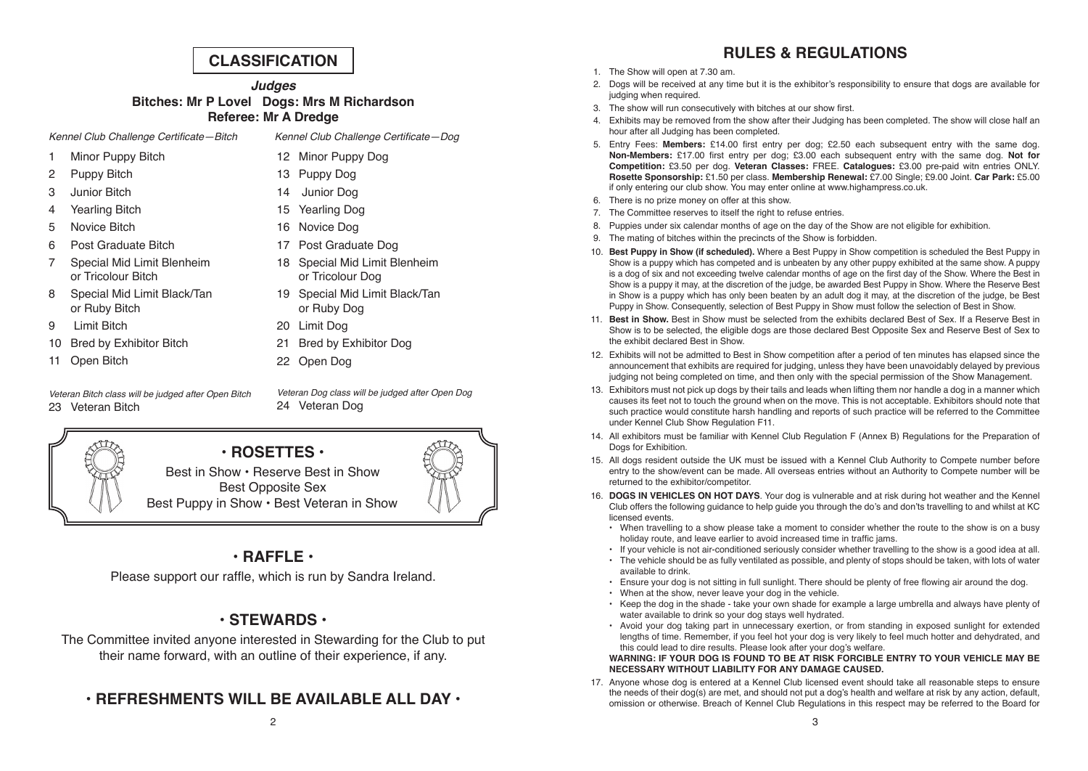# **CLASSIFICATION**

*Judges* **Bitches: Mr P Lovel Dogs: Mrs M Richardson Referee: Mr A Dredge**

Kennel Club Challenge Certificate—Bitch Kennel Club Challenge Certificate—Dog

12 Minor Puppy Dog 13 Puppy Dog 14 Junior Dog 15 Yearling Dog 16 Novice Dog

- 1 Minor Puppy Bitch
- 2 Puppy Bitch
- 3 Junior Bitch
- 4 Yearling Bitch
- 5 Novice Bitch
- 6 Post Graduate Bitch
- 7 Special Mid Limit Blenheim or Tricolour Bitch
- 8 Special Mid Limit Black/Tan or Ruby Bitch
- 9 Limit Bitch
- 10 Bred by Exhibitor Bitch
- 11 Open Bitch

*Veteran Bitch class will be judged after Open Bitch* 23 Veteran Bitch

- 17 Post Graduate Dog 18 Special Mid Limit Blenheim or Tricolour Dog 19 Special Mid Limit Black/Tan
- or Ruby Dog
- 20 Limit Dog
- 21 Bred by Exhibitor Dog
- 22 Open Dog

*Veteran Dog class will be judged after Open Dog*  24 Veteran Dog



# **• ROSETTES •**

Best in Show • Reserve Best in Show Best Opposite Sex Best Puppy in Show • Best Veteran in Show

# **• RAFFLE •**

Please support our raffle, which is run by Sandra Ireland.

# **• STEWARDS •**

The Committee invited anyone interested in Stewarding for the Club to put their name forward, with an outline of their experience, if any.

# **• REFRESHMENTS WILL BE AVAILABLE ALL DAY •**

# **RULES & REGULATIONS**

- 1. The Show will open at 7.30 am.
- 2. Dogs will be received at any time but it is the exhibitor's responsibility to ensure that dogs are available for judging when required.
- 3. The show will run consecutively with bitches at our show first.
- 4. Exhibits may be removed from the show after their Judging has been completed. The show will close half an hour after all Judging has been completed.
- 5. Entry Fees: Members: £14.00 first entry per dog; £2.50 each subsequent entry with the same dog. **Non-Members:** £17.00 first entry per dog; £3.00 each subsequent entry with the same dog. Not for **Competition:** £3.50 per dog. **Veteran Classes:** FREE. **Catalogues:** £3.00 pre-paid witn entries ONLY. **Rosette Sponsorship:** £1.50 per class. **Membership Renewal:** £7.00 Single; £9.00 Joint. **Car Park:** £5.00 if only entering our club show. You may enter online at www.highampress.co.uk.
- 6. There is no prize money on offer at this show.
- 7. The Committee reserves to itself the right to refuse entries.
- 8. Puppies under six calendar months of age on the day of the Show are not eligible for exhibition.
- 9. The mating of bitches within the precincts of the Show is forbidden.
- 10. **Best Puppy in Show (if scheduled).** Where a Best Puppy in Show competition is scheduled the Best Puppy in Show is a puppy which has competed and is unbeaten by any other puppy exhibited at the same show. A puppy is a dog of six and not exceeding twelve calendar months of age on the first day of the Show. Where the Best in Show is a puppy it may, at the discretion of the judge, be awarded Best Puppy in Show. Where the Reserve Best in Show is a puppy which has only been beaten by an adult dog it may, at the discretion of the judge, be Best Puppy in Show. Consequently, selection of Best Puppy in Show must follow the selection of Best in Show.
- 11. **Best in Show.** Best in Show must be selected from the exhibits declared Best of Sex. If a Reserve Best in Show is to be selected, the eligible dogs are those declared Best Opposite Sex and Reserve Best of Sex to the exhibit declared Best in Show.
- 12. Exhibits will not be admitted to Best in Show competition after a period of ten minutes has elapsed since the announcement that exhibits are required for judging, unless they have been unavoidably delayed by previous judging not being completed on time, and then only with the special permission of the Show Management.
- 13. Exhibitors must not pick up dogs by their tails and leads when lifting them nor handle a dog in a manner which causes its feet not to touch the ground when on the move. This is not acceptable. Exhibitors should note that such practice would constitute harsh handling and reports of such practice will be referred to the Committee under Kennel Club Show Regulation F11.
- 14. All exhibitors must be familiar with Kennel Club Regulation F (Annex B) Regulations for the Preparation of Dogs for Exhibition
- 15. All dogs resident outside the UK must be issued with a Kennel Club Authority to Compete number before entry to the show/event can be made. All overseas entries without an Authority to Compete number will be returned to the exhibitor/competitor.
- 16. **DOGS IN VEHICLES ON HOT DAYS**. Your dog is vulnerable and at risk during hot weather and the Kennel Club offers the following guidance to help guide you through the do's and don'ts travelling to and whilst at KC licensed events.
	- When travelling to a show please take a moment to consider whether the route to the show is on a busy holiday route, and leave earlier to avoid increased time in traffic jams.
	- If your vehicle is not air-conditioned seriously consider whether travelling to the show is a good idea at all.
	- The vehicle should be as fully ventilated as possible, and plenty of stops should be taken, with lots of water available to drink.
	- Ensure your dog is not sitting in full sunlight. There should be plenty of free flowing air around the dog.
	- When at the show, never leave your dog in the vehicle.
	- Keep the dog in the shade take your own shade for example a large umbrella and always have plenty of water available to drink so your dog stays well hydrated.
	- Avoid your dog taking part in unnecessary exertion, or from standing in exposed sunlight for extended lengths of time. Remember, if you feel hot your dog is very likely to feel much hotter and dehydrated, and this could lead to dire results. Please look after your dog's welfare.

### **WARNING: IF YOUR DOG IS FOUND TO BE AT RISK FORCIBLE ENTRY TO YOUR VEHICLE MAY BE NECESSARY WITHOUT LIABILITY FOR ANY DAMAGE CAUSED.**

17. Anyone whose dog is entered at a Kennel Club licensed event should take all reasonable steps to ensure the needs of their dog(s) are met, and should not put a dog's health and welfare at risk by any action, default, omission or otherwise. Breach of Kennel Club Regulations in this respect may be referred to the Board for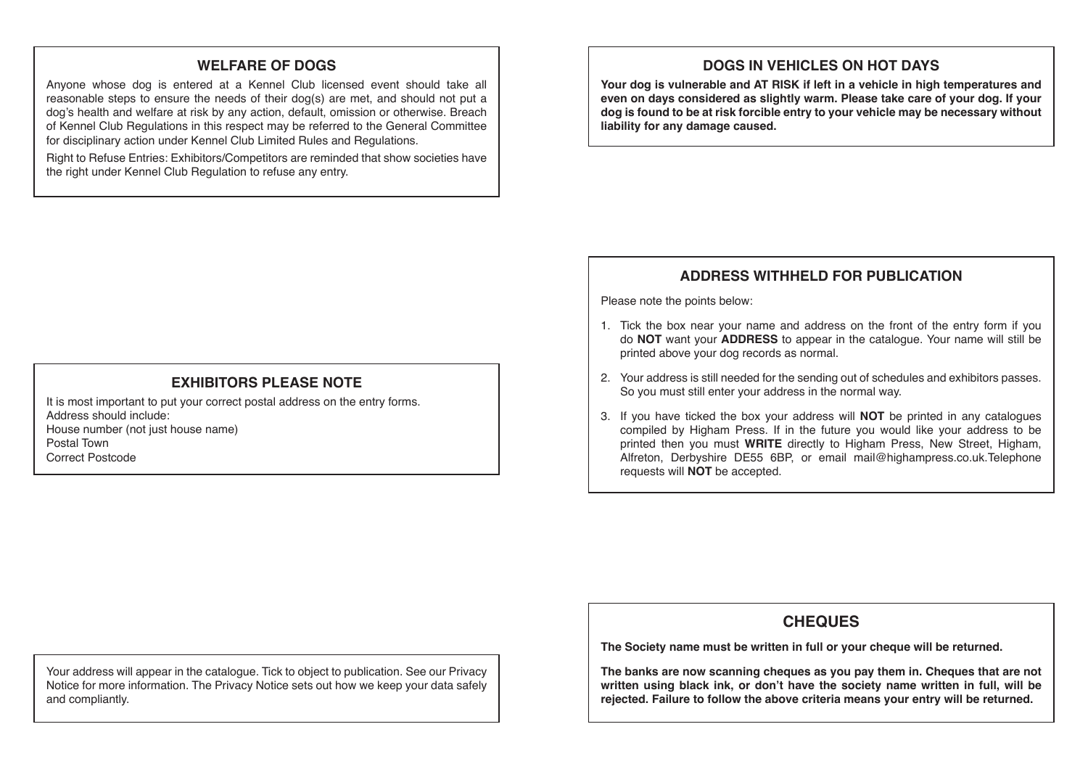# **WELFARE OF DOGS**

Anyone whose dog is entered at a Kennel Club licensed event should take all reasonable steps to ensure the needs of their dog(s) are met, and should not put a dog's health and welfare at risk by any action, default, omission or otherwise. Breach of Kennel Club Regulations in this respect may be referred to the General Committee for disciplinary action under Kennel Club Limited Rules and Regulations.

Right to Refuse Entries: Exhibitors/Competitors are reminded that show societies have the right under Kennel Club Regulation to refuse any entry.

# **DOGS IN VEHICLES ON HOT DAYS**

**Your dog is vulnerable and AT RISK if left in a vehicle in high temperatures and even on days considered as slightly warm. Please take care of your dog. If your dog is found to be at risk forcible entry to your vehicle may be necessary without liability for any damage caused.**

# **ADDRESS WITHHELD FOR PUBLICATION**

Please note the points below:

- 1. Tick the box near your name and address on the front of the entry form if you do **NOT** want your **ADDRESS** to appear in the catalogue. Your name will still be printed above your dog records as normal.
- 2. Your address is still needed for the sending out of schedules and exhibitors passes. So you must still enter your address in the normal way.
- 3. If you have ticked the box your address will **NOT** be printed in any catalogues compiled by Higham Press. If in the future you would like your address to be printed then you must **WRITE** directly to Higham Press, New Street, Higham, Alfreton, Derbyshire DE55 6BP, or email mail@highampress.co.uk.Telephone requests will **NOT** be accepted.

# **CHEQUES**

**The Society name must be written in full or your cheque will be returned.**

**The banks are now scanning cheques as you pay them in. Cheques that are not written using black ink, or don't have the society name written in full, will be rejected. Failure to follow the above criteria means your entry will be returned.**

# **EXHIBITORS PLEASE NOTE**

It is most important to put your correct postal address on the entry forms. Address should include:House number (not just house name) Postal TownCorrect Postcode

Your address will appear in the catalogue. Tick to object to publication. See our Privacy Notice for more information. The Privacy Notice sets out how we keep your data safely and compliantly.